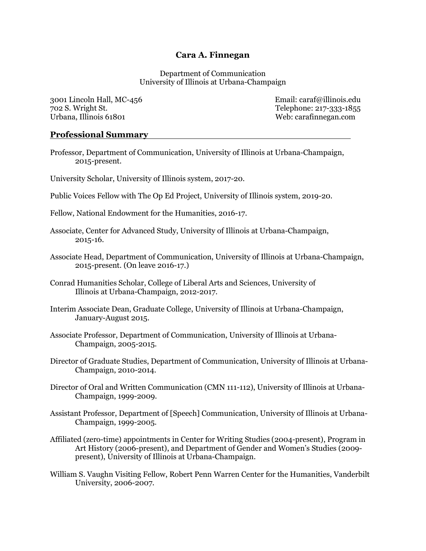# Cara A. Finnegan

Department of Communication University of Illinois at Urbana-Champaign

3001 Lincoln Hall, MC-456 Email: caraf@illinois.edu 702 S. Wright St. Telephone: 217-333-1855 Urbana, Illinois 61801 **Web: carafinnegan.com** 

### Professional Summary

Professor, Department of Communication, University of Illinois at Urbana-Champaign, 2015-present.

University Scholar, University of Illinois system, 2017-20.

Public Voices Fellow with The Op Ed Project, University of Illinois system, 2019-20.

Fellow, National Endowment for the Humanities, 2016-17.

- Associate, Center for Advanced Study, University of Illinois at Urbana-Champaign, 2015-16.
- Associate Head, Department of Communication, University of Illinois at Urbana-Champaign, 2015-present. (On leave 2016-17.)
- Conrad Humanities Scholar, College of Liberal Arts and Sciences, University of Illinois at Urbana-Champaign, 2012-2017.
- Interim Associate Dean, Graduate College, University of Illinois at Urbana-Champaign, January-August 2015.
- Associate Professor, Department of Communication, University of Illinois at Urbana-Champaign, 2005-2015.
- Director of Graduate Studies, Department of Communication, University of Illinois at Urbana-Champaign, 2010-2014.
- Director of Oral and Written Communication (CMN 111-112), University of Illinois at Urbana-Champaign, 1999-2009.
- Assistant Professor, Department of [Speech] Communication, University of Illinois at Urbana-Champaign, 1999-2005.
- Affiliated (zero-time) appointments in Center for Writing Studies (2004-present), Program in Art History (2006-present), and Department of Gender and Women's Studies (2009 present), University of Illinois at Urbana-Champaign.
- William S. Vaughn Visiting Fellow, Robert Penn Warren Center for the Humanities, Vanderbilt University, 2006-2007.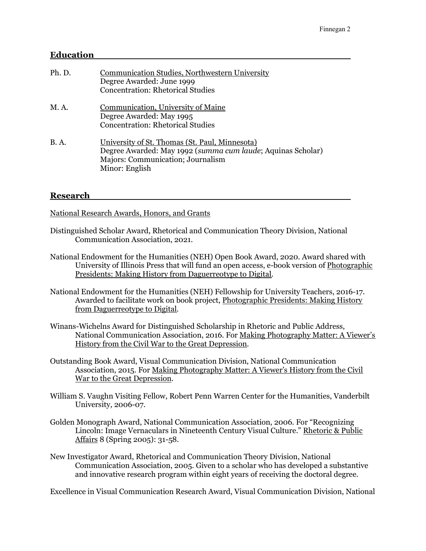# Education

| Ph. D.      | Communication Studies, Northwestern University<br>Degree Awarded: June 1999<br><b>Concentration: Rhetorical Studies</b>                                              |
|-------------|----------------------------------------------------------------------------------------------------------------------------------------------------------------------|
| M.A.        | <b>Communication</b> , University of Maine<br>Degree Awarded: May 1995<br><b>Concentration: Rhetorical Studies</b>                                                   |
| <b>B.A.</b> | University of St. Thomas (St. Paul, Minnesota)<br>Degree Awarded: May 1992 (summa cum laude; Aquinas Scholar)<br>Majors: Communication; Journalism<br>Minor: English |

# Research

National Research Awards, Honors, and Grants

- Distinguished Scholar Award, Rhetorical and Communication Theory Division, National Communication Association, 2021.
- National Endowment for the Humanities (NEH) Open Book Award, 2020. Award shared with University of Illinois Press that will fund an open access, e-book version of Photographic Presidents: Making History from Daguerreotype to Digital.
- National Endowment for the Humanities (NEH) Fellowship for University Teachers, 2016-17. Awarded to facilitate work on book project, Photographic Presidents: Making History from Daguerreotype to Digital.
- Winans-Wichelns Award for Distinguished Scholarship in Rhetoric and Public Address, National Communication Association, 2016. For Making Photography Matter: A Viewer's History from the Civil War to the Great Depression.
- Outstanding Book Award, Visual Communication Division, National Communication Association, 2015. For Making Photography Matter: A Viewer's History from the Civil War to the Great Depression.
- William S. Vaughn Visiting Fellow, Robert Penn Warren Center for the Humanities, Vanderbilt University, 2006-07.
- Golden Monograph Award, National Communication Association, 2006. For "Recognizing Lincoln: Image Vernaculars in Nineteenth Century Visual Culture." Rhetoric & Public Affairs 8 (Spring 2005): 31-58.
- New Investigator Award, Rhetorical and Communication Theory Division, National Communication Association, 2005. Given to a scholar who has developed a substantive and innovative research program within eight years of receiving the doctoral degree.

Excellence in Visual Communication Research Award, Visual Communication Division, National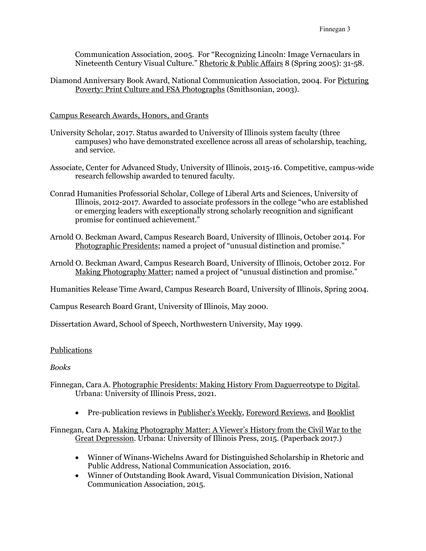Communication Association, 2005. For "Recognizing Lincoln: Image Vernaculars in Nineteenth Century Visual Culture." Rhetoric & Public Affairs 8 (Spring 2005): 31-58.

Diamond Anniversary Book Award, National Communication Association, 2004. For Picturing Poverty: Print Culture and FSA Photographs (Smithsonian, 2003).

### Campus Research Awards, Honors, and Grants

- University Scholar, 2017. Status awarded to University of Illinois system faculty (three campuses) who have demonstrated excellence across all areas of scholarship, teaching, and service.
- Associate, Center for Advanced Study, University of Illinois, 2015-16. Competitive, campus-wide research fellowship awarded to tenured faculty.
- Conrad Humanities Professorial Scholar, College of Liberal Arts and Sciences, University of Illinois, 2012-2017. Awarded to associate professors in the college "who are established or emerging leaders with exceptionally strong scholarly recognition and significant promise for continued achievement."
- Arnold O. Beckman Award, Campus Research Board, University of Illinois, October 2014. For Photographic Presidents; named a project of "unusual distinction and promise."
- Arnold O. Beckman Award, Campus Research Board, University of Illinois, October 2012. For Making Photography Matter; named a project of "unusual distinction and promise."

Humanities Release Time Award, Campus Research Board, University of Illinois, Spring 2004.

Campus Research Board Grant, University of Illinois, May 2000.

Dissertation Award, School of Speech, Northwestern University, May 1999.

### Publications

### Books

- Finnegan, Cara A. Photographic Presidents: Making History From Daguerreotype to Digital. Urbana: University of Illinois Press, 2021.
	- Pre-publication reviews in Publisher's Weekly, Foreword Reviews, and Booklist

Finnegan, Cara A. Making Photography Matter: A Viewer's History from the Civil War to the Great Depression. Urbana: University of Illinois Press, 2015. (Paperback 2017.)

- Winner of Winans-Wichelns Award for Distinguished Scholarship in Rhetoric and Public Address, National Communication Association, 2016.
- Winner of Outstanding Book Award, Visual Communication Division, National Communication Association, 2015.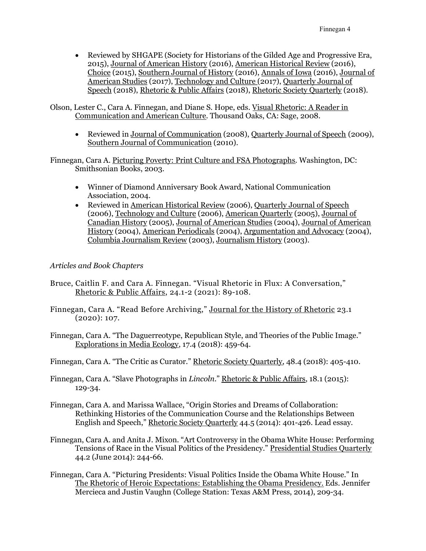Reviewed by SHGAPE (Society for Historians of the Gilded Age and Progressive Era, 2015), Journal of American History (2016), American Historical Review (2016), Choice (2015), Southern Journal of History (2016), Annals of Iowa (2016), Journal of American Studies (2017), Technology and Culture (2017), Quarterly Journal of Speech (2018), Rhetoric & Public Affairs (2018), Rhetoric Society Quarterly (2018).

Olson, Lester C., Cara A. Finnegan, and Diane S. Hope, eds. Visual Rhetoric: A Reader in Communication and American Culture. Thousand Oaks, CA: Sage, 2008.

• Reviewed in Journal of Communication (2008), Quarterly Journal of Speech (2009), Southern Journal of Communication (2010).

Finnegan, Cara A. Picturing Poverty: Print Culture and FSA Photographs. Washington, DC: Smithsonian Books, 2003.

- Winner of Diamond Anniversary Book Award, National Communication Association, 2004.
- Reviewed in American Historical Review (2006), Quarterly Journal of Speech (2006), Technology and Culture (2006), American Quarterly (2005), Journal of Canadian History (2005), Journal of American Studies (2004), Journal of American History (2004), American Periodicals (2004), Argumentation and Advocacy (2004), Columbia Journalism Review (2003), Journalism History (2003).

# Articles and Book Chapters

- Bruce, Caitlin F. and Cara A. Finnegan. "Visual Rhetoric in Flux: A Conversation," Rhetoric & Public Affairs, 24.1-2 (2021): 89-108.
- Finnegan, Cara A. "Read Before Archiving," Journal for the History of Rhetoric 23.1 (2020): 107.
- Finnegan, Cara A. "The Daguerreotype, Republican Style, and Theories of the Public Image." Explorations in Media Ecology, 17.4 (2018): 459-64.

Finnegan, Cara A. "The Critic as Curator." Rhetoric Society Quarterly, 48.4 (2018): 405-410.

- Finnegan, Cara A. "Slave Photographs in Lincoln." Rhetoric & Public Affairs, 18.1 (2015): 129-34.
- Finnegan, Cara A. and Marissa Wallace, "Origin Stories and Dreams of Collaboration: Rethinking Histories of the Communication Course and the Relationships Between English and Speech," Rhetoric Society Quarterly 44.5 (2014): 401-426. Lead essay.
- Finnegan, Cara A. and Anita J. Mixon. "Art Controversy in the Obama White House: Performing Tensions of Race in the Visual Politics of the Presidency." Presidential Studies Quarterly 44.2 (June 2014): 244-66.
- Finnegan, Cara A. "Picturing Presidents: Visual Politics Inside the Obama White House." In The Rhetoric of Heroic Expectations: Establishing the Obama Presidency. Eds. Jennifer Mercieca and Justin Vaughn (College Station: Texas A&M Press, 2014), 209-34.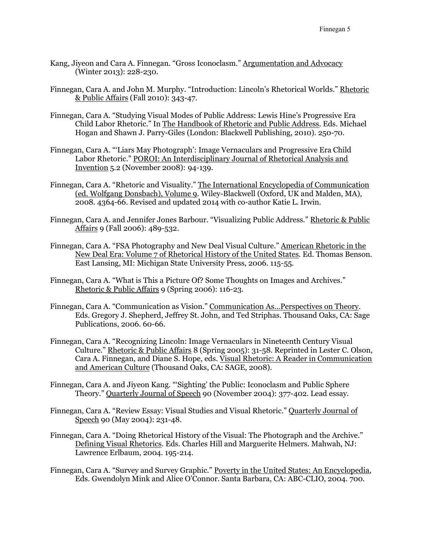- Kang, Jiyeon and Cara A. Finnegan. "Gross Iconoclasm." Argumentation and Advocacy (Winter 2013): 228-230.
- Finnegan, Cara A. and John M. Murphy. "Introduction: Lincoln's Rhetorical Worlds." Rhetoric & Public Affairs (Fall 2010): 343-47.
- Finnegan, Cara A. "Studying Visual Modes of Public Address: Lewis Hine's Progressive Era Child Labor Rhetoric." In The Handbook of Rhetoric and Public Address. Eds. Michael Hogan and Shawn J. Parry-Giles (London: Blackwell Publishing, 2010). 250-70.
- Finnegan, Cara A. "'Liars May Photograph': Image Vernaculars and Progressive Era Child Labor Rhetoric." POROI: An Interdisciplinary Journal of Rhetorical Analysis and Invention 5.2 (November 2008): 94-139.
- Finnegan, Cara A. "Rhetoric and Visuality." The International Encyclopedia of Communication (ed. Wolfgang Donsbach), Volume 9. Wiley-Blackwell (Oxford, UK and Malden, MA), 2008. 4364-66. Revised and updated 2014 with co-author Katie L. Irwin.
- Finnegan, Cara A. and Jennifer Jones Barbour. "Visualizing Public Address." Rhetoric & Public Affairs 9 (Fall 2006): 489-532.
- Finnegan, Cara A. "FSA Photography and New Deal Visual Culture." American Rhetoric in the New Deal Era: Volume 7 of Rhetorical History of the United States. Ed. Thomas Benson. East Lansing, MI: Michigan State University Press, 2006. 115-55.
- Finnegan, Cara A. "What is This a Picture Of? Some Thoughts on Images and Archives." Rhetoric & Public Affairs 9 (Spring 2006): 116-23.
- Finnegan, Cara A. "Communication as Vision." Communication As…Perspectives on Theory. Eds. Gregory J. Shepherd, Jeffrey St. John, and Ted Striphas. Thousand Oaks, CA: Sage Publications, 2006. 60-66.
- Finnegan, Cara A. "Recognizing Lincoln: Image Vernaculars in Nineteenth Century Visual Culture." Rhetoric & Public Affairs 8 (Spring 2005): 31-58. Reprinted in Lester C. Olson, Cara A. Finnegan, and Diane S. Hope, eds. Visual Rhetoric: A Reader in Communication and American Culture (Thousand Oaks, CA: SAGE, 2008).
- Finnegan, Cara A. and Jiyeon Kang. "'Sighting' the Public: Iconoclasm and Public Sphere Theory." Quarterly Journal of Speech 90 (November 2004): 377-402. Lead essay.
- Finnegan, Cara A. "Review Essay: Visual Studies and Visual Rhetoric." Quarterly Journal of Speech 90 (May 2004): 231-48.
- Finnegan, Cara A. "Doing Rhetorical History of the Visual: The Photograph and the Archive." Defining Visual Rhetorics. Eds. Charles Hill and Marguerite Helmers. Mahwah, NJ: Lawrence Erlbaum, 2004. 195-214.
- Finnegan, Cara A. "Survey and Survey Graphic." Poverty in the United States: An Encyclopedia, Eds. Gwendolyn Mink and Alice O'Connor. Santa Barbara, CA: ABC-CLIO, 2004. 700.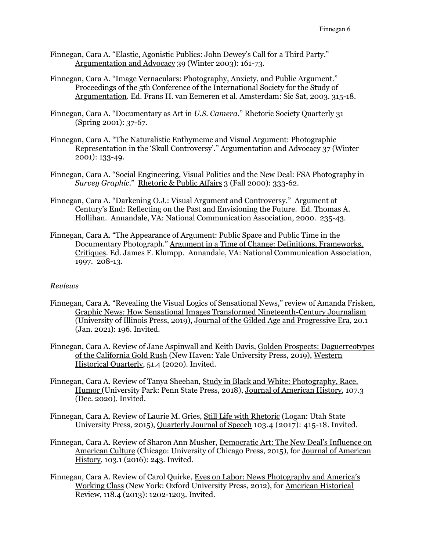- Finnegan, Cara A. "Elastic, Agonistic Publics: John Dewey's Call for a Third Party." Argumentation and Advocacy 39 (Winter 2003): 161-73.
- Finnegan, Cara A. "Image Vernaculars: Photography, Anxiety, and Public Argument." Proceedings of the 5th Conference of the International Society for the Study of Argumentation. Ed. Frans H. van Eemeren et al. Amsterdam: Sic Sat, 2003. 315-18.
- Finnegan, Cara A. "Documentary as Art in U.S. Camera." Rhetoric Society Quarterly 31 (Spring 2001): 37-67.
- Finnegan, Cara A. "The Naturalistic Enthymeme and Visual Argument: Photographic Representation in the 'Skull Controversy'." Argumentation and Advocacy 37 (Winter 2001): 133-49.
- Finnegan, Cara A. "Social Engineering, Visual Politics and the New Deal: FSA Photography in Survey Graphic." Rhetoric & Public Affairs 3 (Fall 2000): 333-62.
- Finnegan, Cara A. "Darkening O.J.: Visual Argument and Controversy." Argument at Century's End: Reflecting on the Past and Envisioning the Future. Ed. Thomas A. Hollihan. Annandale, VA: National Communication Association, 2000. 235-43.
- Finnegan, Cara A. "The Appearance of Argument: Public Space and Public Time in the Documentary Photograph." Argument in a Time of Change: Definitions, Frameworks, Critiques. Ed. James F. Klumpp. Annandale, VA: National Communication Association, 1997. 208-13.

### Reviews

- Finnegan, Cara A. "Revealing the Visual Logics of Sensational News," review of Amanda Frisken, Graphic News: How Sensational Images Transformed Nineteenth-Century Journalism (University of Illinois Press, 2019), Journal of the Gilded Age and Progressive Era, 20.1 (Jan. 2021): 196. Invited.
- Finnegan, Cara A. Review of Jane Aspinwall and Keith Davis, Golden Prospects: Daguerreotypes of the California Gold Rush (New Haven: Yale University Press, 2019), Western Historical Quarterly, 51.4 (2020). Invited.
- Finnegan, Cara A. Review of Tanya Sheehan, Study in Black and White: Photography, Race, Humor (University Park: Penn State Press, 2018), Journal of American History, 107.3 (Dec. 2020). Invited.
- Finnegan, Cara A. Review of Laurie M. Gries, Still Life with Rhetoric (Logan: Utah State University Press, 2015), Quarterly Journal of Speech 103.4 (2017): 415-18. Invited.
- Finnegan, Cara A. Review of Sharon Ann Musher, Democratic Art: The New Deal's Influence on American Culture (Chicago: University of Chicago Press, 2015), for Journal of American History, 103.1 (2016): 243. Invited.
- Finnegan, Cara A. Review of Carol Quirke, Eyes on Labor: News Photography and America's Working Class (New York: Oxford University Press, 2012), for American Historical Review, 118.4 (2013): 1202-1203. Invited.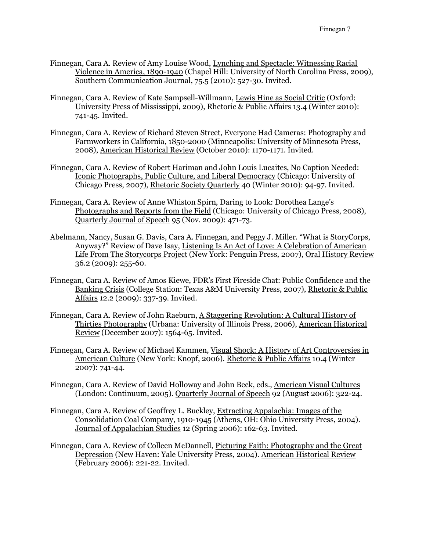- Finnegan, Cara A. Review of Amy Louise Wood, Lynching and Spectacle: Witnessing Racial Violence in America, 1890-1940 (Chapel Hill: University of North Carolina Press, 2009), Southern Communication Journal, 75.5 (2010): 527-30. Invited.
- Finnegan, Cara A. Review of Kate Sampsell-Willmann, Lewis Hine as Social Critic (Oxford: University Press of Mississippi, 2009), Rhetoric & Public Affairs 13.4 (Winter 2010): 741-45. Invited.
- Finnegan, Cara A. Review of Richard Steven Street, Everyone Had Cameras: Photography and Farmworkers in California, 1850-2000 (Minneapolis: University of Minnesota Press, 2008), American Historical Review (October 2010): 1170-1171. Invited.
- Finnegan, Cara A. Review of Robert Hariman and John Louis Lucaites, No Caption Needed: Iconic Photographs, Public Culture, and Liberal Democracy (Chicago: University of Chicago Press, 2007), Rhetoric Society Quarterly 40 (Winter 2010): 94-97. Invited.
- Finnegan, Cara A. Review of Anne Whiston Spirn, Daring to Look: Dorothea Lange's Photographs and Reports from the Field (Chicago: University of Chicago Press, 2008), Quarterly Journal of Speech 95 (Nov. 2009): 471-73.
- Abelmann, Nancy, Susan G. Davis, Cara A. Finnegan, and Peggy J. Miller. "What is StoryCorps, Anyway?" Review of Dave Isay, Listening Is An Act of Love: A Celebration of American Life From The Storycorps Project (New York: Penguin Press, 2007), Oral History Review 36.2 (2009): 255-60.
- Finnegan, Cara A. Review of Amos Kiewe, FDR's First Fireside Chat: Public Confidence and the Banking Crisis (College Station: Texas A&M University Press, 2007), Rhetoric & Public Affairs 12.2 (2009): 337-39. Invited.
- Finnegan, Cara A. Review of John Raeburn, A Staggering Revolution: A Cultural History of Thirties Photography (Urbana: University of Illinois Press, 2006), American Historical Review (December 2007): 1564-65. Invited.
- Finnegan, Cara A. Review of Michael Kammen, Visual Shock: A History of Art Controversies in American Culture (New York: Knopf, 2006). Rhetoric & Public Affairs 10.4 (Winter 2007): 741-44.
- Finnegan, Cara A. Review of David Holloway and John Beck, eds., American Visual Cultures (London: Continuum, 2005). Quarterly Journal of Speech 92 (August 2006): 322-24.
- Finnegan, Cara A. Review of Geoffrey L. Buckley, Extracting Appalachia: Images of the Consolidation Coal Company, 1910-1945 (Athens, OH: Ohio University Press, 2004). Journal of Appalachian Studies 12 (Spring 2006): 162-63. Invited.
- Finnegan, Cara A. Review of Colleen McDannell, Picturing Faith: Photography and the Great Depression (New Haven: Yale University Press, 2004). American Historical Review (February 2006): 221-22. Invited.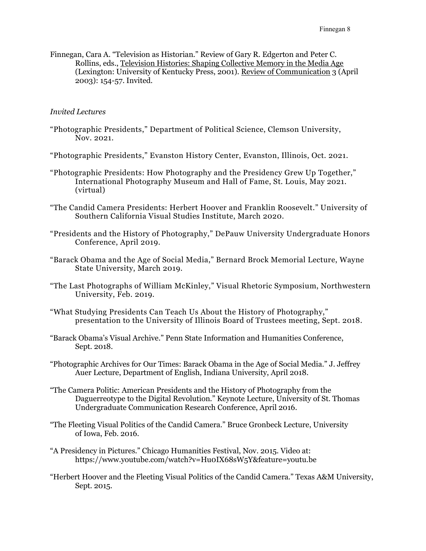Finnegan, Cara A. "Television as Historian." Review of Gary R. Edgerton and Peter C. Rollins, eds., Television Histories: Shaping Collective Memory in the Media Age (Lexington: University of Kentucky Press, 2001). Review of Communication 3 (April 2003): 154-57. Invited.

#### Invited Lectures

- "Photographic Presidents," Department of Political Science, Clemson University, Nov. 2021.
- "Photographic Presidents," Evanston History Center, Evanston, Illinois, Oct. 2021.
- "Photographic Presidents: How Photography and the Presidency Grew Up Together," International Photography Museum and Hall of Fame, St. Louis, May 2021. (virtual)
- "The Candid Camera Presidents: Herbert Hoover and Franklin Roosevelt." University of Southern California Visual Studies Institute, March 2020.
- "Presidents and the History of Photography," DePauw University Undergraduate Honors Conference, April 2019.
- "Barack Obama and the Age of Social Media," Bernard Brock Memorial Lecture, Wayne State University, March 2019.
- "The Last Photographs of William McKinley," Visual Rhetoric Symposium, Northwestern University, Feb. 2019.
- "What Studying Presidents Can Teach Us About the History of Photography," presentation to the University of Illinois Board of Trustees meeting, Sept. 2018.
- "Barack Obama's Visual Archive." Penn State Information and Humanities Conference, Sept. 2018.
- "Photographic Archives for Our Times: Barack Obama in the Age of Social Media." J. Jeffrey Auer Lecture, Department of English, Indiana University, April 2018.
- "The Camera Politic: American Presidents and the History of Photography from the Daguerreotype to the Digital Revolution." Keynote Lecture, University of St. Thomas Undergraduate Communication Research Conference, April 2016.
- "The Fleeting Visual Politics of the Candid Camera." Bruce Gronbeck Lecture, University of Iowa, Feb. 2016.
- "A Presidency in Pictures." Chicago Humanities Festival, Nov. 2015. Video at: https://www.youtube.com/watch?v=Hu0IX68sW5Y&feature=youtu.be
- "Herbert Hoover and the Fleeting Visual Politics of the Candid Camera." Texas A&M University, Sept. 2015.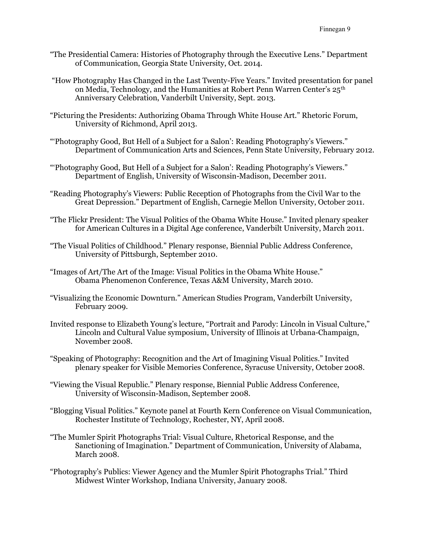- "The Presidential Camera: Histories of Photography through the Executive Lens." Department of Communication, Georgia State University, Oct. 2014.
- "How Photography Has Changed in the Last Twenty-Five Years." Invited presentation for panel on Media, Technology, and the Humanities at Robert Penn Warren Center's 25<sup>th</sup> Anniversary Celebration, Vanderbilt University, Sept. 2013.
- "Picturing the Presidents: Authorizing Obama Through White House Art." Rhetoric Forum, University of Richmond, April 2013.
- "'Photography Good, But Hell of a Subject for a Salon': Reading Photography's Viewers." Department of Communication Arts and Sciences, Penn State University, February 2012.
- "'Photography Good, But Hell of a Subject for a Salon': Reading Photography's Viewers." Department of English, University of Wisconsin-Madison, December 2011.
- "Reading Photography's Viewers: Public Reception of Photographs from the Civil War to the Great Depression." Department of English, Carnegie Mellon University, October 2011.
- "The Flickr President: The Visual Politics of the Obama White House." Invited plenary speaker for American Cultures in a Digital Age conference, Vanderbilt University, March 2011.
- "The Visual Politics of Childhood." Plenary response, Biennial Public Address Conference, University of Pittsburgh, September 2010.
- "Images of Art/The Art of the Image: Visual Politics in the Obama White House." Obama Phenomenon Conference, Texas A&M University, March 2010.
- "Visualizing the Economic Downturn." American Studies Program, Vanderbilt University, February 2009.
- Invited response to Elizabeth Young's lecture, "Portrait and Parody: Lincoln in Visual Culture," Lincoln and Cultural Value symposium, University of Illinois at Urbana-Champaign, November 2008.
- "Speaking of Photography: Recognition and the Art of Imagining Visual Politics." Invited plenary speaker for Visible Memories Conference, Syracuse University, October 2008.
- "Viewing the Visual Republic." Plenary response, Biennial Public Address Conference, University of Wisconsin-Madison, September 2008.
- "Blogging Visual Politics." Keynote panel at Fourth Kern Conference on Visual Communication, Rochester Institute of Technology, Rochester, NY, April 2008.
- "The Mumler Spirit Photographs Trial: Visual Culture, Rhetorical Response, and the Sanctioning of Imagination." Department of Communication, University of Alabama, March 2008.
- "Photography's Publics: Viewer Agency and the Mumler Spirit Photographs Trial." Third Midwest Winter Workshop, Indiana University, January 2008.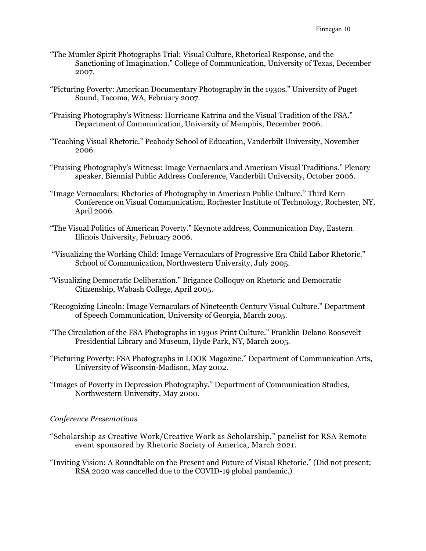- "The Mumler Spirit Photographs Trial: Visual Culture, Rhetorical Response, and the Sanctioning of Imagination." College of Communication, University of Texas, December 2007.
- "Picturing Poverty: American Documentary Photography in the 1930s." University of Puget Sound, Tacoma, WA, February 2007.
- "Praising Photography's Witness: Hurricane Katrina and the Visual Tradition of the FSA." Department of Communication, University of Memphis, December 2006.
- "Teaching Visual Rhetoric." Peabody School of Education, Vanderbilt University, November 2006.
- "Praising Photography's Witness: Image Vernaculars and American Visual Traditions." Plenary speaker, Biennial Public Address Conference, Vanderbilt University, October 2006.
- "Image Vernaculars: Rhetorics of Photography in American Public Culture." Third Kern Conference on Visual Communication, Rochester Institute of Technology, Rochester, NY, April 2006.
- "The Visual Politics of American Poverty." Keynote address, Communication Day, Eastern Illinois University, February 2006.
- "Visualizing the Working Child: Image Vernaculars of Progressive Era Child Labor Rhetoric." School of Communication, Northwestern University, July 2005.
- "Visualizing Democratic Deliberation." Brigance Colloquy on Rhetoric and Democratic Citizenship, Wabash College, April 2005.
- "Recognizing Lincoln: Image Vernaculars of Nineteenth Century Visual Culture." Department of Speech Communication, University of Georgia, March 2005.
- "The Circulation of the FSA Photographs in 1930s Print Culture." Franklin Delano Roosevelt Presidential Library and Museum, Hyde Park, NY, March 2005.
- "Picturing Poverty: FSA Photographs in LOOK Magazine." Department of Communication Arts, University of Wisconsin-Madison, May 2002.
- "Images of Poverty in Depression Photography." Department of Communication Studies, Northwestern University, May 2000.

#### Conference Presentations

- "Scholarship as Creative Work/Creative Work as Scholarship," panelist for RSA Remote event sponsored by Rhetoric Society of America, March 2021.
- "Inviting Vision: A Roundtable on the Present and Future of Visual Rhetoric." (Did not present; RSA 2020 was cancelled due to the COVID-19 global pandemic.)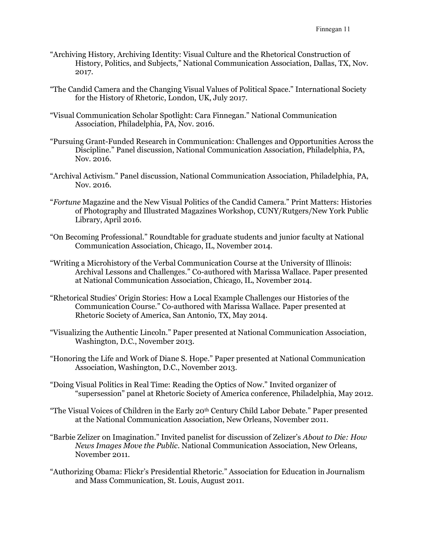- "Archiving History, Archiving Identity: Visual Culture and the Rhetorical Construction of History, Politics, and Subjects," National Communication Association, Dallas, TX, Nov. 2017.
- "The Candid Camera and the Changing Visual Values of Political Space." International Society for the History of Rhetoric, London, UK, July 2017.
- "Visual Communication Scholar Spotlight: Cara Finnegan." National Communication Association, Philadelphia, PA, Nov. 2016.
- "Pursuing Grant-Funded Research in Communication: Challenges and Opportunities Across the Discipline." Panel discussion, National Communication Association, Philadelphia, PA, Nov. 2016.
- "Archival Activism." Panel discussion, National Communication Association, Philadelphia, PA, Nov. 2016.
- "Fortune Magazine and the New Visual Politics of the Candid Camera." Print Matters: Histories of Photography and Illustrated Magazines Workshop, CUNY/Rutgers/New York Public Library, April 2016.
- "On Becoming Professional." Roundtable for graduate students and junior faculty at National Communication Association, Chicago, IL, November 2014.
- "Writing a Microhistory of the Verbal Communication Course at the University of Illinois: Archival Lessons and Challenges." Co-authored with Marissa Wallace. Paper presented at National Communication Association, Chicago, IL, November 2014.
- "Rhetorical Studies' Origin Stories: How a Local Example Challenges our Histories of the Communication Course." Co-authored with Marissa Wallace. Paper presented at Rhetoric Society of America, San Antonio, TX, May 2014.
- "Visualizing the Authentic Lincoln." Paper presented at National Communication Association, Washington, D.C., November 2013.
- "Honoring the Life and Work of Diane S. Hope." Paper presented at National Communication Association, Washington, D.C., November 2013.
- "Doing Visual Politics in Real Time: Reading the Optics of Now." Invited organizer of "supersession" panel at Rhetoric Society of America conference, Philadelphia, May 2012.
- "The Visual Voices of Children in the Early 20<sup>th</sup> Century Child Labor Debate." Paper presented at the National Communication Association, New Orleans, November 2011.
- "Barbie Zelizer on Imagination." Invited panelist for discussion of Zelizer's About to Die: How News Images Move the Public. National Communication Association, New Orleans, November 2011.
- "Authorizing Obama: Flickr's Presidential Rhetoric." Association for Education in Journalism and Mass Communication, St. Louis, August 2011.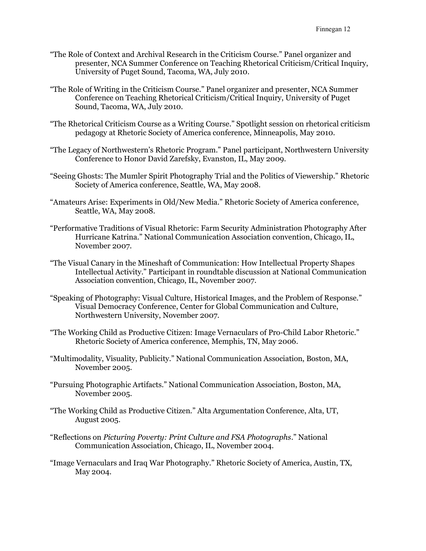- "The Role of Context and Archival Research in the Criticism Course." Panel organizer and presenter, NCA Summer Conference on Teaching Rhetorical Criticism/Critical Inquiry, University of Puget Sound, Tacoma, WA, July 2010.
- "The Role of Writing in the Criticism Course." Panel organizer and presenter, NCA Summer Conference on Teaching Rhetorical Criticism/Critical Inquiry, University of Puget Sound, Tacoma, WA, July 2010.
- "The Rhetorical Criticism Course as a Writing Course." Spotlight session on rhetorical criticism pedagogy at Rhetoric Society of America conference, Minneapolis, May 2010.
- "The Legacy of Northwestern's Rhetoric Program." Panel participant, Northwestern University Conference to Honor David Zarefsky, Evanston, IL, May 2009.
- "Seeing Ghosts: The Mumler Spirit Photography Trial and the Politics of Viewership." Rhetoric Society of America conference, Seattle, WA, May 2008.
- "Amateurs Arise: Experiments in Old/New Media." Rhetoric Society of America conference, Seattle, WA, May 2008.
- "Performative Traditions of Visual Rhetoric: Farm Security Administration Photography After Hurricane Katrina." National Communication Association convention, Chicago, IL, November 2007.
- "The Visual Canary in the Mineshaft of Communication: How Intellectual Property Shapes Intellectual Activity." Participant in roundtable discussion at National Communication Association convention, Chicago, IL, November 2007.
- "Speaking of Photography: Visual Culture, Historical Images, and the Problem of Response." Visual Democracy Conference, Center for Global Communication and Culture, Northwestern University, November 2007.
- "The Working Child as Productive Citizen: Image Vernaculars of Pro-Child Labor Rhetoric." Rhetoric Society of America conference, Memphis, TN, May 2006.
- "Multimodality, Visuality, Publicity." National Communication Association, Boston, MA, November 2005.
- "Pursuing Photographic Artifacts." National Communication Association, Boston, MA, November 2005.
- "The Working Child as Productive Citizen." Alta Argumentation Conference, Alta, UT, August 2005.
- "Reflections on Picturing Poverty: Print Culture and FSA Photographs." National Communication Association, Chicago, IL, November 2004.
- "Image Vernaculars and Iraq War Photography." Rhetoric Society of America, Austin, TX, May 2004.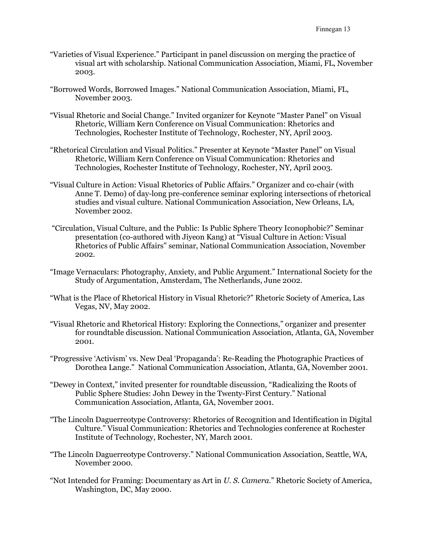- "Varieties of Visual Experience." Participant in panel discussion on merging the practice of visual art with scholarship. National Communication Association, Miami, FL, November 2003.
- "Borrowed Words, Borrowed Images." National Communication Association, Miami, FL, November 2003.
- "Visual Rhetoric and Social Change." Invited organizer for Keynote "Master Panel" on Visual Rhetoric, William Kern Conference on Visual Communication: Rhetorics and Technologies, Rochester Institute of Technology, Rochester, NY, April 2003.
- "Rhetorical Circulation and Visual Politics." Presenter at Keynote "Master Panel" on Visual Rhetoric, William Kern Conference on Visual Communication: Rhetorics and Technologies, Rochester Institute of Technology, Rochester, NY, April 2003.
- "Visual Culture in Action: Visual Rhetorics of Public Affairs." Organizer and co-chair (with Anne T. Demo) of day-long pre-conference seminar exploring intersections of rhetorical studies and visual culture. National Communication Association, New Orleans, LA, November 2002.
- "Circulation, Visual Culture, and the Public: Is Public Sphere Theory Iconophobic?" Seminar presentation (co-authored with Jiyeon Kang) at "Visual Culture in Action: Visual Rhetorics of Public Affairs" seminar, National Communication Association, November 2002.
- "Image Vernaculars: Photography, Anxiety, and Public Argument." International Society for the Study of Argumentation, Amsterdam, The Netherlands, June 2002.
- "What is the Place of Rhetorical History in Visual Rhetoric?" Rhetoric Society of America, Las Vegas, NV, May 2002.
- "Visual Rhetoric and Rhetorical History: Exploring the Connections," organizer and presenter for roundtable discussion. National Communication Association, Atlanta, GA, November 2001.
- "Progressive 'Activism' vs. New Deal 'Propaganda': Re-Reading the Photographic Practices of Dorothea Lange." National Communication Association, Atlanta, GA, November 2001.
- "Dewey in Context," invited presenter for roundtable discussion, "Radicalizing the Roots of Public Sphere Studies: John Dewey in the Twenty-First Century." National Communication Association, Atlanta, GA, November 2001.
- "The Lincoln Daguerreotype Controversy: Rhetorics of Recognition and Identification in Digital Culture." Visual Communication: Rhetorics and Technologies conference at Rochester Institute of Technology, Rochester, NY, March 2001.
- "The Lincoln Daguerreotype Controversy." National Communication Association, Seattle, WA, November 2000.
- "Not Intended for Framing: Documentary as Art in  $U.S.$  Camera." Rhetoric Society of America, Washington, DC, May 2000.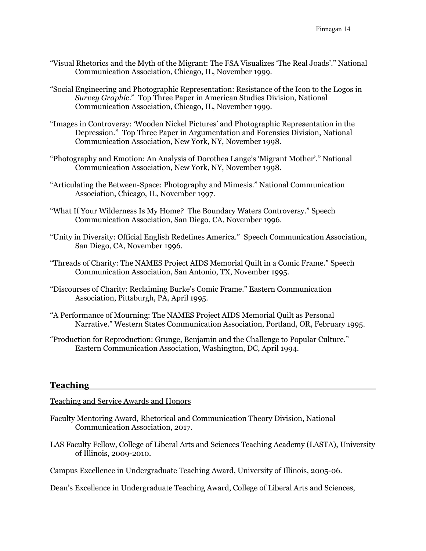- "Visual Rhetorics and the Myth of the Migrant: The FSA Visualizes 'The Real Joads'." National Communication Association, Chicago, IL, November 1999.
- "Social Engineering and Photographic Representation: Resistance of the Icon to the Logos in Survey Graphic." Top Three Paper in American Studies Division, National Communication Association, Chicago, IL, November 1999.
- "Images in Controversy: 'Wooden Nickel Pictures' and Photographic Representation in the Depression." Top Three Paper in Argumentation and Forensics Division, National Communication Association, New York, NY, November 1998.
- "Photography and Emotion: An Analysis of Dorothea Lange's 'Migrant Mother'." National Communication Association, New York, NY, November 1998.
- "Articulating the Between-Space: Photography and Mimesis." National Communication Association, Chicago, IL, November 1997.
- "What If Your Wilderness Is My Home? The Boundary Waters Controversy." Speech Communication Association, San Diego, CA, November 1996.
- "Unity in Diversity: Official English Redefines America." Speech Communication Association, San Diego, CA, November 1996.
- "Threads of Charity: The NAMES Project AIDS Memorial Quilt in a Comic Frame." Speech Communication Association, San Antonio, TX, November 1995.
- "Discourses of Charity: Reclaiming Burke's Comic Frame." Eastern Communication Association, Pittsburgh, PA, April 1995.
- "A Performance of Mourning: The NAMES Project AIDS Memorial Quilt as Personal Narrative." Western States Communication Association, Portland, OR, February 1995.
- "Production for Reproduction: Grunge, Benjamin and the Challenge to Popular Culture." Eastern Communication Association, Washington, DC, April 1994.

# Teaching

Teaching and Service Awards and Honors

- Faculty Mentoring Award, Rhetorical and Communication Theory Division, National Communication Association, 2017.
- LAS Faculty Fellow, College of Liberal Arts and Sciences Teaching Academy (LASTA), University of Illinois, 2009-2010.

Campus Excellence in Undergraduate Teaching Award, University of Illinois, 2005-06.

Dean's Excellence in Undergraduate Teaching Award, College of Liberal Arts and Sciences,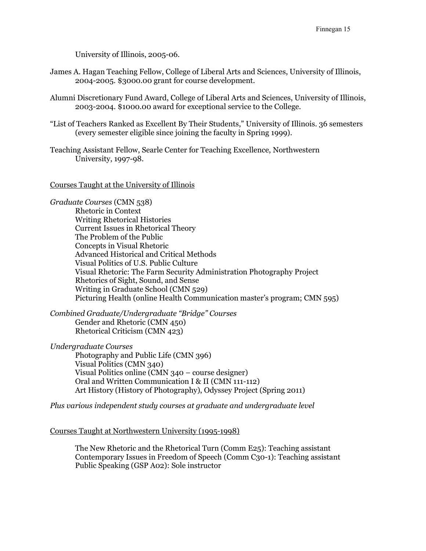University of Illinois, 2005-06.

- James A. Hagan Teaching Fellow, College of Liberal Arts and Sciences, University of Illinois, 2004-2005. \$3000.00 grant for course development.
- Alumni Discretionary Fund Award, College of Liberal Arts and Sciences, University of Illinois, 2003-2004. \$1000.00 award for exceptional service to the College.
- "List of Teachers Ranked as Excellent By Their Students," University of Illinois. 36 semesters (every semester eligible since joining the faculty in Spring 1999).
- Teaching Assistant Fellow, Searle Center for Teaching Excellence, Northwestern University, 1997-98.

#### Courses Taught at the University of Illinois

Graduate Courses (CMN 538) Rhetoric in Context Writing Rhetorical Histories Current Issues in Rhetorical Theory The Problem of the Public Concepts in Visual Rhetoric Advanced Historical and Critical Methods Visual Politics of U.S. Public Culture Visual Rhetoric: The Farm Security Administration Photography Project Rhetorics of Sight, Sound, and Sense Writing in Graduate School (CMN 529) Picturing Health (online Health Communication master's program; CMN 595)

Combined Graduate/Undergraduate "Bridge" Courses Gender and Rhetoric (CMN 450) Rhetorical Criticism (CMN 423)

Undergraduate Courses Photography and Public Life (CMN 396) Visual Politics (CMN 340) Visual Politics online (CMN 340 – course designer) Oral and Written Communication I & II (CMN 111-112) Art History (History of Photography), Odyssey Project (Spring 2011)

Plus various independent study courses at graduate and undergraduate level

Courses Taught at Northwestern University (1995-1998)

The New Rhetoric and the Rhetorical Turn (Comm E25): Teaching assistant Contemporary Issues in Freedom of Speech (Comm C30-1): Teaching assistant Public Speaking (GSP A02): Sole instructor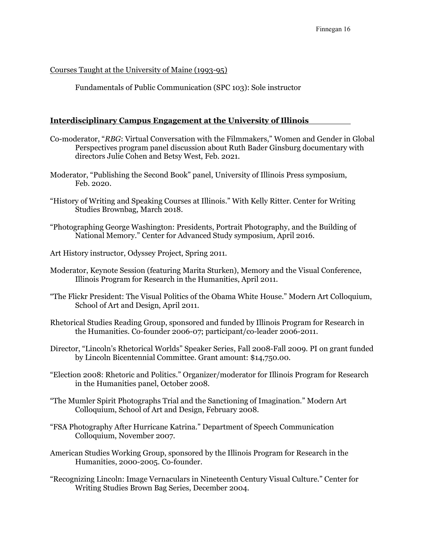### Courses Taught at the University of Maine (1993-95)

Fundamentals of Public Communication (SPC 103): Sole instructor

### Interdisciplinary Campus Engagement at the University of Illinois

- Co-moderator, "RBG: Virtual Conversation with the Filmmakers," Women and Gender in Global Perspectives program panel discussion about Ruth Bader Ginsburg documentary with directors Julie Cohen and Betsy West, Feb. 2021.
- Moderator, "Publishing the Second Book" panel, University of Illinois Press symposium, Feb. 2020.
- "History of Writing and Speaking Courses at Illinois." With Kelly Ritter. Center for Writing Studies Brownbag, March 2018.
- "Photographing George Washington: Presidents, Portrait Photography, and the Building of National Memory." Center for Advanced Study symposium, April 2016.
- Art History instructor, Odyssey Project, Spring 2011.
- Moderator, Keynote Session (featuring Marita Sturken), Memory and the Visual Conference, Illinois Program for Research in the Humanities, April 2011.
- "The Flickr President: The Visual Politics of the Obama White House." Modern Art Colloquium, School of Art and Design, April 2011.
- Rhetorical Studies Reading Group, sponsored and funded by Illinois Program for Research in the Humanities. Co-founder 2006-07; participant/co-leader 2006-2011.
- Director, "Lincoln's Rhetorical Worlds" Speaker Series, Fall 2008-Fall 2009. PI on grant funded by Lincoln Bicentennial Committee. Grant amount: \$14,750.00.
- "Election 2008: Rhetoric and Politics." Organizer/moderator for Illinois Program for Research in the Humanities panel, October 2008.
- "The Mumler Spirit Photographs Trial and the Sanctioning of Imagination." Modern Art Colloquium, School of Art and Design, February 2008.
- "FSA Photography After Hurricane Katrina." Department of Speech Communication Colloquium, November 2007.
- American Studies Working Group, sponsored by the Illinois Program for Research in the Humanities, 2000-2005. Co-founder.
- "Recognizing Lincoln: Image Vernaculars in Nineteenth Century Visual Culture." Center for Writing Studies Brown Bag Series, December 2004.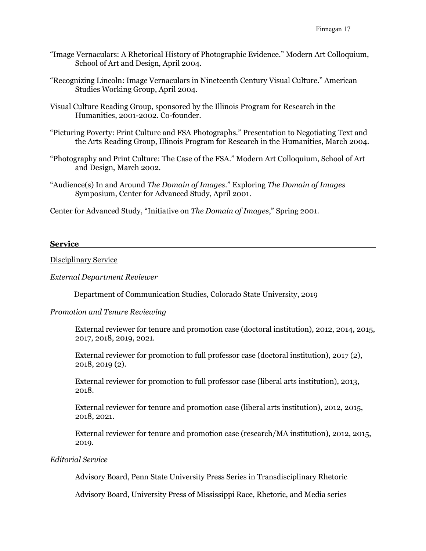- "Image Vernaculars: A Rhetorical History of Photographic Evidence." Modern Art Colloquium, School of Art and Design, April 2004.
- "Recognizing Lincoln: Image Vernaculars in Nineteenth Century Visual Culture." American Studies Working Group, April 2004.
- Visual Culture Reading Group, sponsored by the Illinois Program for Research in the Humanities, 2001-2002. Co-founder.
- "Picturing Poverty: Print Culture and FSA Photographs." Presentation to Negotiating Text and the Arts Reading Group, Illinois Program for Research in the Humanities, March 2004.
- "Photography and Print Culture: The Case of the FSA." Modern Art Colloquium, School of Art and Design, March 2002.
- "Audience(s) In and Around The Domain of Images." Exploring The Domain of Images Symposium, Center for Advanced Study, April 2001.

Center for Advanced Study, "Initiative on The Domain of Images," Spring 2001.

#### Service

Disciplinary Service

#### External Department Reviewer

Department of Communication Studies, Colorado State University, 2019

### Promotion and Tenure Reviewing

External reviewer for tenure and promotion case (doctoral institution), 2012, 2014, 2015, 2017, 2018, 2019, 2021.

External reviewer for promotion to full professor case (doctoral institution), 2017 (2), 2018, 2019 (2).

External reviewer for promotion to full professor case (liberal arts institution), 2013, 2018.

External reviewer for tenure and promotion case (liberal arts institution), 2012, 2015, 2018, 2021.

External reviewer for tenure and promotion case (research/MA institution), 2012, 2015, 2019.

### Editorial Service

Advisory Board, Penn State University Press Series in Transdisciplinary Rhetoric

Advisory Board, University Press of Mississippi Race, Rhetoric, and Media series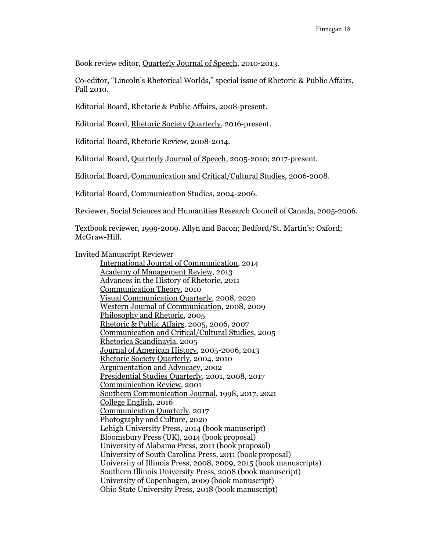Book review editor, Quarterly Journal of Speech, 2010-2013.

Co-editor, "Lincoln's Rhetorical Worlds," special issue of Rhetoric & Public Affairs, Fall 2010.

Editorial Board, Rhetoric & Public Affairs, 2008-present.

Editorial Board, Rhetoric Society Quarterly, 2016-present.

Editorial Board, Rhetoric Review, 2008-2014.

Editorial Board, Quarterly Journal of Speech, 2005-2010; 2017-present.

Editorial Board, Communication and Critical/Cultural Studies, 2006-2008.

Editorial Board, Communication Studies, 2004-2006.

Reviewer, Social Sciences and Humanities Research Council of Canada, 2005-2006.

Textbook reviewer, 1999-2009. Allyn and Bacon; Bedford/St. Martin's; Oxford; McGraw-Hill.

Invited Manuscript Reviewer

 International Journal of Communication, 2014 Academy of Management Review, 2013 Advances in the History of Rhetoric, 2011 Communication Theory, 2010 Visual Communication Quarterly, 2008, 2020 Western Journal of Communication, 2008, 2009 Philosophy and Rhetoric, 2005 Rhetoric & Public Affairs, 2005, 2006, 2007 Communication and Critical/Cultural Studies, 2005 Rhetorica Scandinavia, 2005 Journal of American History, 2005-2006, 2013 Rhetoric Society Quarterly, 2004, 2010 Argumentation and Advocacy, 2002 Presidential Studies Quarterly, 2001, 2008, 2017 Communication Review, 2001 Southern Communication Journal, 1998, 2017, 2021 College English, 2016 Communication Quarterly, 2017 Photography and Culture, 2020 Lehigh University Press, 2014 (book manuscript) Bloomsbury Press (UK), 2014 (book proposal) University of Alabama Press, 2011 (book proposal) University of South Carolina Press, 2011 (book proposal) University of Illinois Press, 2008, 2009, 2015 (book manuscripts) Southern Illinois University Press, 2008 (book manuscript) University of Copenhagen, 2009 (book manuscript) Ohio State University Press, 2018 (book manuscript)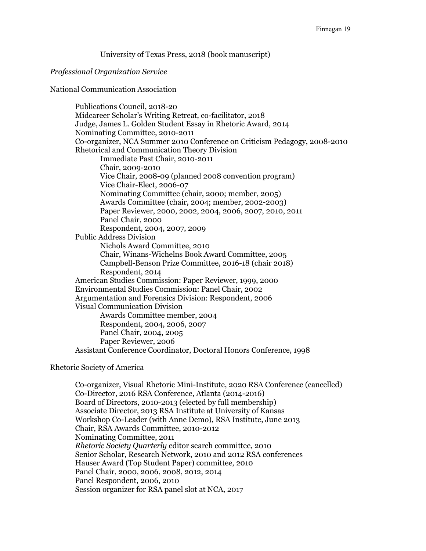University of Texas Press, 2018 (book manuscript)

#### Professional Organization Service

National Communication Association

Publications Council, 2018-20 Midcareer Scholar's Writing Retreat, co-facilitator, 2018 Judge, James L. Golden Student Essay in Rhetoric Award, 2014 Nominating Committee, 2010-2011 Co-organizer, NCA Summer 2010 Conference on Criticism Pedagogy, 2008-2010 Rhetorical and Communication Theory Division Immediate Past Chair, 2010-2011 Chair, 2009-2010 Vice Chair, 2008-09 (planned 2008 convention program) Vice Chair-Elect, 2006-07 Nominating Committee (chair, 2000; member, 2005) Awards Committee (chair, 2004; member, 2002-2003) Paper Reviewer, 2000, 2002, 2004, 2006, 2007, 2010, 2011 Panel Chair, 2000 Respondent, 2004, 2007, 2009 Public Address Division Nichols Award Committee, 2010 Chair, Winans-Wichelns Book Award Committee, 2005 Campbell-Benson Prize Committee, 2016-18 (chair 2018) Respondent, 2014 American Studies Commission: Paper Reviewer, 1999, 2000 Environmental Studies Commission: Panel Chair, 2002 Argumentation and Forensics Division: Respondent, 2006 Visual Communication Division Awards Committee member, 2004 Respondent, 2004, 2006, 2007 Panel Chair, 2004, 2005 Paper Reviewer, 2006 Assistant Conference Coordinator, Doctoral Honors Conference, 1998

### Rhetoric Society of America

Co-organizer, Visual Rhetoric Mini-Institute, 2020 RSA Conference (cancelled) Co-Director, 2016 RSA Conference, Atlanta (2014-2016) Board of Directors, 2010-2013 (elected by full membership) Associate Director, 2013 RSA Institute at University of Kansas Workshop Co-Leader (with Anne Demo), RSA Institute, June 2013 Chair, RSA Awards Committee, 2010-2012 Nominating Committee, 2011 Rhetoric Society Quarterly editor search committee, 2010 Senior Scholar, Research Network, 2010 and 2012 RSA conferences Hauser Award (Top Student Paper) committee, 2010 Panel Chair, 2000, 2006, 2008, 2012, 2014 Panel Respondent, 2006, 2010 Session organizer for RSA panel slot at NCA, 2017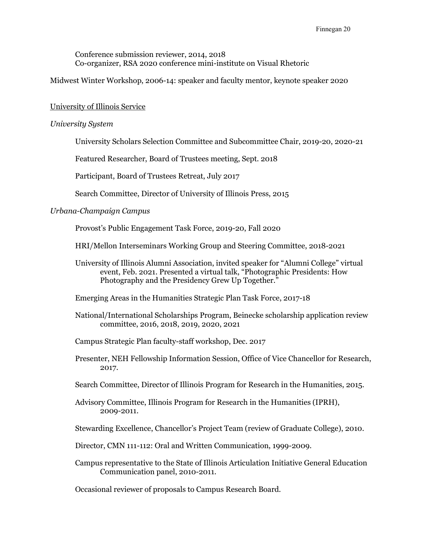Conference submission reviewer, 2014, 2018 Co-organizer, RSA 2020 conference mini-institute on Visual Rhetoric

Midwest Winter Workshop, 2006-14: speaker and faculty mentor, keynote speaker 2020

#### University of Illinois Service

### University System

University Scholars Selection Committee and Subcommittee Chair, 2019-20, 2020-21

Featured Researcher, Board of Trustees meeting, Sept. 2018

Participant, Board of Trustees Retreat, July 2017

Search Committee, Director of University of Illinois Press, 2015

### Urbana-Champaign Campus

Provost's Public Engagement Task Force, 2019-20, Fall 2020

- HRI/Mellon Interseminars Working Group and Steering Committee, 2018-2021
- University of Illinois Alumni Association, invited speaker for "Alumni College" virtual event, Feb. 2021. Presented a virtual talk, "Photographic Presidents: How Photography and the Presidency Grew Up Together."

Emerging Areas in the Humanities Strategic Plan Task Force, 2017-18

- National/International Scholarships Program, Beinecke scholarship application review committee, 2016, 2018, 2019, 2020, 2021
- Campus Strategic Plan faculty-staff workshop, Dec. 2017
- Presenter, NEH Fellowship Information Session, Office of Vice Chancellor for Research, 2017.
- Search Committee, Director of Illinois Program for Research in the Humanities, 2015.
- Advisory Committee, Illinois Program for Research in the Humanities (IPRH), 2009-2011.
- Stewarding Excellence, Chancellor's Project Team (review of Graduate College), 2010.
- Director, CMN 111-112: Oral and Written Communication, 1999-2009.
- Campus representative to the State of Illinois Articulation Initiative General Education Communication panel, 2010-2011.

Occasional reviewer of proposals to Campus Research Board.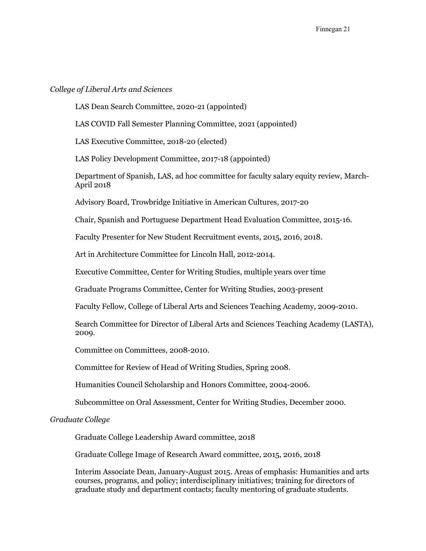### College of Liberal Arts and Sciences

LAS Dean Search Committee, 2020-21 (appointed)

LAS COVID Fall Semester Planning Committee, 2021 (appointed)

LAS Executive Committee, 2018-20 (elected)

LAS Policy Development Committee, 2017-18 (appointed)

Department of Spanish, LAS, ad hoc committee for faculty salary equity review, March-April 2018

Advisory Board, Trowbridge Initiative in American Cultures, 2017-20

Chair, Spanish and Portuguese Department Head Evaluation Committee, 2015-16.

Faculty Presenter for New Student Recruitment events, 2015, 2016, 2018.

Art in Architecture Committee for Lincoln Hall, 2012-2014.

Executive Committee, Center for Writing Studies, multiple years over time

Graduate Programs Committee, Center for Writing Studies, 2003-present

Faculty Fellow, College of Liberal Arts and Sciences Teaching Academy, 2009-2010.

Search Committee for Director of Liberal Arts and Sciences Teaching Academy (LASTA), 2009.

Committee on Committees, 2008-2010.

Committee for Review of Head of Writing Studies, Spring 2008.

Humanities Council Scholarship and Honors Committee, 2004-2006.

Subcommittee on Oral Assessment, Center for Writing Studies, December 2000.

#### Graduate College

Graduate College Leadership Award committee, 2018

Graduate College Image of Research Award committee, 2015, 2016, 2018

Interim Associate Dean, January-August 2015. Areas of emphasis: Humanities and arts courses, programs, and policy; interdisciplinary initiatives; training for directors of graduate study and department contacts; faculty mentoring of graduate students.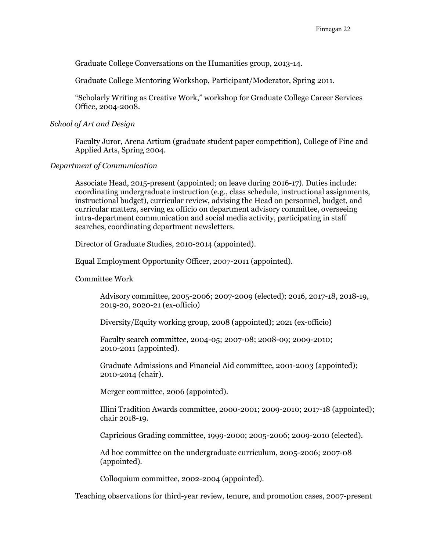Graduate College Conversations on the Humanities group, 2013-14.

Graduate College Mentoring Workshop, Participant/Moderator, Spring 2011.

"Scholarly Writing as Creative Work," workshop for Graduate College Career Services Office, 2004-2008.

### School of Art and Design

Faculty Juror, Arena Artium (graduate student paper competition), College of Fine and Applied Arts, Spring 2004.

### Department of Communication

Associate Head, 2015-present (appointed; on leave during 2016-17). Duties include: coordinating undergraduate instruction (e.g., class schedule, instructional assignments, instructional budget), curricular review, advising the Head on personnel, budget, and curricular matters, serving ex officio on department advisory committee, overseeing intra-department communication and social media activity, participating in staff searches, coordinating department newsletters.

Director of Graduate Studies, 2010-2014 (appointed).

Equal Employment Opportunity Officer, 2007-2011 (appointed).

Committee Work

Advisory committee, 2005-2006; 2007-2009 (elected); 2016, 2017-18, 2018-19, 2019-20, 2020-21 (ex-officio)

Diversity/Equity working group, 2008 (appointed); 2021 (ex-officio)

Faculty search committee, 2004-05; 2007-08; 2008-09; 2009-2010; 2010-2011 (appointed).

Graduate Admissions and Financial Aid committee, 2001-2003 (appointed); 2010-2014 (chair).

Merger committee, 2006 (appointed).

Illini Tradition Awards committee, 2000-2001; 2009-2010; 2017-18 (appointed); chair 2018-19.

Capricious Grading committee, 1999-2000; 2005-2006; 2009-2010 (elected).

Ad hoc committee on the undergraduate curriculum, 2005-2006; 2007-08 (appointed).

Colloquium committee, 2002-2004 (appointed).

Teaching observations for third-year review, tenure, and promotion cases, 2007-present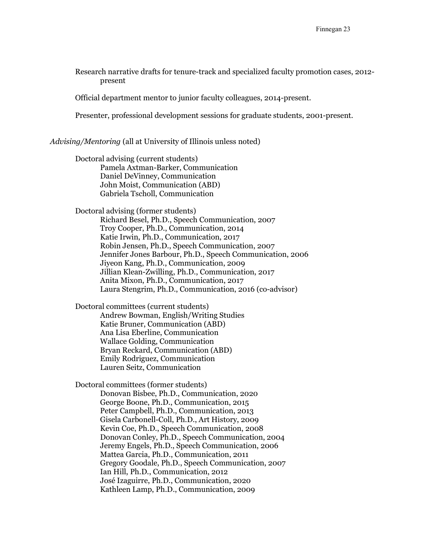Research narrative drafts for tenure-track and specialized faculty promotion cases, 2012 present

Official department mentor to junior faculty colleagues, 2014-present.

Presenter, professional development sessions for graduate students, 2001-present.

Advising/Mentoring (all at University of Illinois unless noted)

Doctoral advising (current students) Pamela Axtman-Barker, Communication Daniel DeVinney, Communication John Moist, Communication (ABD) Gabriela Tscholl, Communication

Doctoral advising (former students) Richard Besel, Ph.D., Speech Communication, 2007 Troy Cooper, Ph.D., Communication, 2014 Katie Irwin, Ph.D., Communication, 2017 Robin Jensen, Ph.D., Speech Communication, 2007 Jennifer Jones Barbour, Ph.D., Speech Communication, 2006 Jiyeon Kang, Ph.D., Communication, 2009 Jillian Klean-Zwilling, Ph.D., Communication, 2017 Anita Mixon, Ph.D., Communication, 2017 Laura Stengrim, Ph.D., Communication, 2016 (co-advisor)

Doctoral committees (current students) Andrew Bowman, English/Writing Studies Katie Bruner, Communication (ABD) Ana Lisa Eberline, Communication Wallace Golding, Communication Bryan Reckard, Communication (ABD) Emily Rodriguez, Communication Lauren Seitz, Communication

Doctoral committees (former students) Donovan Bisbee, Ph.D., Communication, 2020 George Boone, Ph.D., Communication, 2015 Peter Campbell, Ph.D., Communication, 2013 Gisela Carbonell-Coll, Ph.D., Art History, 2009 Kevin Coe, Ph.D., Speech Communication, 2008 Donovan Conley, Ph.D., Speech Communication, 2004 Jeremy Engels, Ph.D., Speech Communication, 2006 Mattea Garcia, Ph.D., Communication, 2011 Gregory Goodale, Ph.D., Speech Communication, 2007 Ian Hill, Ph.D., Communication, 2012 José Izaguirre, Ph.D., Communication, 2020 Kathleen Lamp, Ph.D., Communication, 2009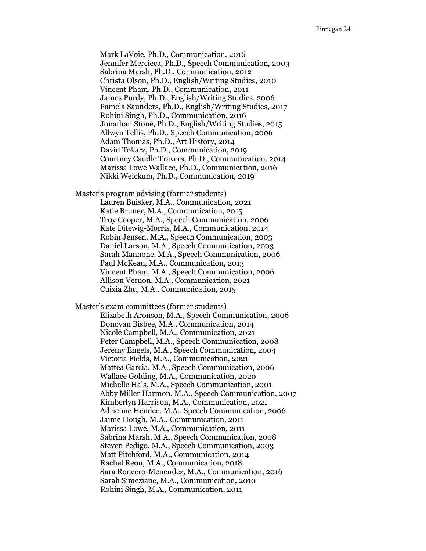Mark LaVoie, Ph.D., Communication, 2016 Jennifer Mercieca, Ph.D., Speech Communication, 2003 Sabrina Marsh, Ph.D., Communication, 2012 Christa Olson, Ph.D., English/Writing Studies, 2010 Vincent Pham, Ph.D., Communication, 2011 James Purdy, Ph.D., English/Writing Studies, 2006 Pamela Saunders, Ph.D., English/Writing Studies, 2017 Rohini Singh, Ph.D., Communication, 2016 Jonathan Stone, Ph.D., English/Writing Studies, 2015 Allwyn Tellis, Ph.D., Speech Communication, 2006 Adam Thomas, Ph.D., Art History, 2014 David Tokarz, Ph.D., Communication, 2019 Courtney Caudle Travers, Ph.D., Communication, 2014 Marissa Lowe Wallace, Ph.D., Communication, 2016 Nikki Weickum, Ph.D., Communication, 2019

Master's program advising (former students) Lauren Buisker, M.A., Communication, 2021 Katie Bruner, M.A., Communication, 2015 Troy Cooper, M.A., Speech Communication, 2006 Kate Ditewig-Morris, M.A., Communication, 2014 Robin Jensen, M.A., Speech Communication, 2003 Daniel Larson, M.A., Speech Communication, 2003 Sarah Mannone, M.A., Speech Communication, 2006 Paul McKean, M.A., Communication, 2013 Vincent Pham, M.A., Speech Communication, 2006 Allison Vernon, M.A., Communication, 2021 Cuixia Zhu, M.A., Communication, 2015

Master's exam committees (former students) Elizabeth Aronson, M.A., Speech Communication, 2006 Donovan Bisbee, M.A., Communication, 2014 Nicole Campbell, M.A., Communication, 2021 Peter Campbell, M.A., Speech Communication, 2008 Jeremy Engels, M.A., Speech Communication, 2004 Victoria Fields, M.A., Communication, 2021 Mattea Garcia, M.A., Speech Communication, 2006 Wallace Golding, M.A., Communication, 2020 Michelle Hals, M.A., Speech Communication, 2001 Abby Miller Harmon, M.A., Speech Communication, 2007 Kimberlyn Harrison, M.A., Communication, 2021 Adrienne Hendee, M.A., Speech Communication, 2006 Jaime Hough, M.A., Communication, 2011 Marissa Lowe, M.A., Communication, 2011 Sabrina Marsh, M.A., Speech Communication, 2008 Steven Pedigo, M.A., Speech Communication, 2003 Matt Pitchford, M.A., Communication, 2014 Rachel Reon, M.A., Communication, 2018 Sara Roncero-Menendez, M.A., Communication, 2016 Sarah Simeziane, M.A., Communication, 2010 Rohini Singh, M.A., Communication, 2011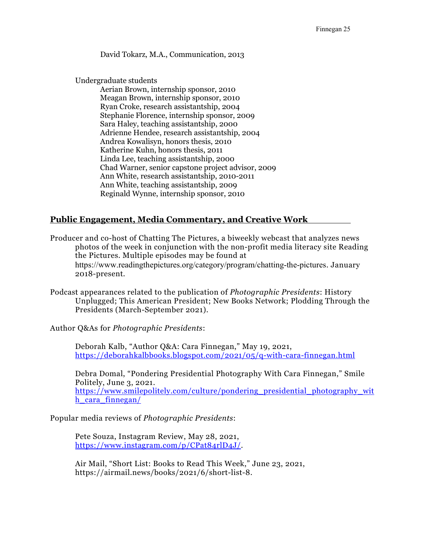David Tokarz, M.A., Communication, 2013

Undergraduate students

Aerian Brown, internship sponsor, 2010 Meagan Brown, internship sponsor, 2010 Ryan Croke, research assistantship, 2004 Stephanie Florence, internship sponsor, 2009 Sara Haley, teaching assistantship, 2000 Adrienne Hendee, research assistantship, 2004 Andrea Kowalisyn, honors thesis, 2010 Katherine Kuhn, honors thesis, 2011 Linda Lee, teaching assistantship, 2000 Chad Warner, senior capstone project advisor, 2009 Ann White, research assistantship, 2010-2011 Ann White, teaching assistantship, 2009 Reginald Wynne, internship sponsor, 2010

# Public Engagement, Media Commentary, and Creative Work

Producer and co-host of Chatting The Pictures, a biweekly webcast that analyzes news photos of the week in conjunction with the non-profit media literacy site Reading the Pictures. Multiple episodes may be found at https://www.readingthepictures.org/category/program/chatting-the-pictures. January 2018-present.

Podcast appearances related to the publication of Photographic Presidents: History Unplugged; This American President; New Books Network; Plodding Through the Presidents (March-September 2021).

Author Q&As for Photographic Presidents:

Deborah Kalb, "Author Q&A: Cara Finnegan," May 19, 2021, https://deborahkalbbooks.blogspot.com/2021/05/q-with-cara-finnegan.html

Debra Domal, "Pondering Presidential Photography With Cara Finnegan," Smile Politely, June 3, 2021. https://www.smilepolitely.com/culture/pondering\_presidential\_photography\_wit h\_cara\_finnegan/

Popular media reviews of Photographic Presidents:

Pete Souza, Instagram Review, May 28, 2021, https://www.instagram.com/p/CPat84rlD4J/.

Air Mail, "Short List: Books to Read This Week," June 23, 2021, https://airmail.news/books/2021/6/short-list-8.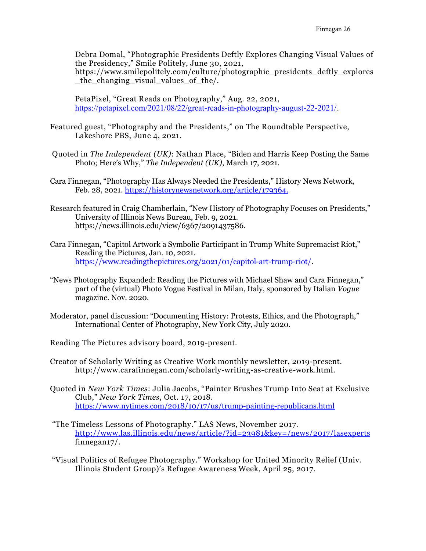Debra Domal, "Photographic Presidents Deftly Explores Changing Visual Values of the Presidency," Smile Politely, June 30, 2021, https://www.smilepolitely.com/culture/photographic\_presidents\_deftly\_explores \_the\_changing\_visual\_values\_of\_the/.

PetaPixel, "Great Reads on Photography," Aug. 22, 2021, https://petapixel.com/2021/08/22/great-reads-in-photography-august-22-2021/.

- Featured guest, "Photography and the Presidents," on The Roundtable Perspective, Lakeshore PBS, June 4, 2021.
- Quoted in The Independent (UK): Nathan Place, "Biden and Harris Keep Posting the Same Photo; Here's Why," The Independent (UK), March 17, 2021.
- Cara Finnegan, "Photography Has Always Needed the Presidents," History News Network, Feb. 28, 2021. https://historynewsnetwork.org/article/179364.
- Research featured in Craig Chamberlain, "New History of Photography Focuses on Presidents," University of Illinois News Bureau, Feb. 9, 2021. https://news.illinois.edu/view/6367/2091437586.
- Cara Finnegan, "Capitol Artwork a Symbolic Participant in Trump White Supremacist Riot," Reading the Pictures, Jan. 10, 2021. https://www.readingthepictures.org/2021/01/capitol-art-trump-riot/.
- "News Photography Expanded: Reading the Pictures with Michael Shaw and Cara Finnegan," part of the (virtual) Photo Vogue Festival in Milan, Italy, sponsored by Italian Vogue magazine. Nov. 2020.
- Moderator, panel discussion: "Documenting History: Protests, Ethics, and the Photograph," International Center of Photography, New York City, July 2020.
- Reading The Pictures advisory board, 2019-present.
- Creator of Scholarly Writing as Creative Work monthly newsletter, 2019-present. http://www.carafinnegan.com/scholarly-writing-as-creative-work.html.
- Quoted in New York Times: Julia Jacobs, "Painter Brushes Trump Into Seat at Exclusive Club," New York Times, Oct. 17, 2018. https://www.nytimes.com/2018/10/17/us/trump-painting-republicans.html
- "The Timeless Lessons of Photography." LAS News, November 2017. http://www.las.illinois.edu/news/article/?id=23981&key=/news/2017/lasexperts finnegan17/.
- "Visual Politics of Refugee Photography." Workshop for United Minority Relief (Univ. Illinois Student Group)'s Refugee Awareness Week, April 25, 2017.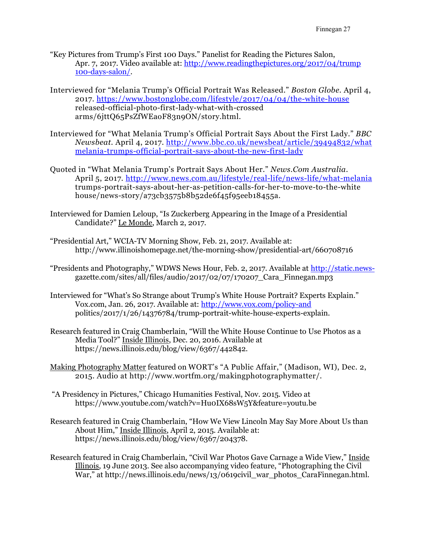- "Key Pictures from Trump's First 100 Days." Panelist for Reading the Pictures Salon, Apr. 7, 2017. Video available at: http://www.readingthepictures.org/2017/04/trump 100-days-salon/.
- Interviewed for "Melania Trump's Official Portrait Was Released." Boston Globe. April 4, 2017. https://www.bostonglobe.com/lifestyle/2017/04/04/the-white-house released-official-photo-first-lady-what-with-crossed arms/6jttQ65PsZfWEaoF83n9ON/story.html.
- Interviewed for "What Melania Trump's Official Portrait Says About the First Lady." BBC Newsbeat. April 4, 2017. http://www.bbc.co.uk/newsbeat/article/39494832/what melania-trumps-official-portrait-says-about-the-new-first-lady
- Quoted in "What Melania Trump's Portrait Says About Her." News.Com Australia. April 5, 2017. http://www.news.com.au/lifestyle/real-life/news-life/what-melania trumps-portrait-says-about-her-as-petition-calls-for-her-to-move-to-the-white house/news-story/a73cb3575b8b52de6f45f95eeb18455a.
- Interviewed for Damien Leloup, "Is Zuckerberg Appearing in the Image of a Presidential Candidate?" Le Monde, March 2, 2017.
- "Presidential Art," WCIA-TV Morning Show, Feb. 21, 2017. Available at: http://www.illinoishomepage.net/the-morning-show/presidential-art/660708716
- "Presidents and Photography," WDWS News Hour, Feb. 2, 2017. Available at http://static.news gazette.com/sites/all/files/audio/2017/02/07/170207\_Cara\_Finnegan.mp3
- Interviewed for "What's So Strange about Trump's White House Portrait? Experts Explain." Vox.com, Jan. 26, 2017. Available at: http://www.vox.com/policy-and politics/2017/1/26/14376784/trump-portrait-white-house-experts-explain.
- Research featured in Craig Chamberlain, "Will the White House Continue to Use Photos as a Media Tool?" Inside Illinois, Dec. 20, 2016. Available at https://news.illinois.edu/blog/view/6367/442842.
- Making Photography Matter featured on WORT's "A Public Affair," (Madison, WI), Dec. 2, 2015. Audio at http://www.wortfm.org/makingphotographymatter/.
- "A Presidency in Pictures," Chicago Humanities Festival, Nov. 2015. Video at https://www.youtube.com/watch?v=Hu0IX68sW5Y&feature=youtu.be
- Research featured in Craig Chamberlain, "How We View Lincoln May Say More About Us than About Him," Inside Illinois, April 2, 2015. Available at: https://news.illinois.edu/blog/view/6367/204378.
- Research featured in Craig Chamberlain, "Civil War Photos Gave Carnage a Wide View," Inside Illinois, 19 June 2013. See also accompanying video feature, "Photographing the Civil War," at http://news.illinois.edu/news/13/0619civil\_war\_photos\_CaraFinnegan.html.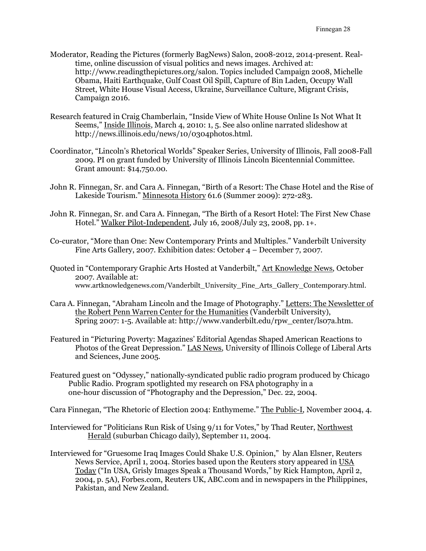- Moderator, Reading the Pictures (formerly BagNews) Salon, 2008-2012, 2014-present. Realtime, online discussion of visual politics and news images. Archived at: http://www.readingthepictures.org/salon. Topics included Campaign 2008, Michelle Obama, Haiti Earthquake, Gulf Coast Oil Spill, Capture of Bin Laden, Occupy Wall Street, White House Visual Access, Ukraine, Surveillance Culture, Migrant Crisis, Campaign 2016.
- Research featured in Craig Chamberlain, "Inside View of White House Online Is Not What It Seems," Inside Illinois, March 4, 2010: 1, 5. See also online narrated slideshow at http://news.illinois.edu/news/10/0304photos.html.
- Coordinator, "Lincoln's Rhetorical Worlds" Speaker Series, University of Illinois, Fall 2008-Fall 2009. PI on grant funded by University of Illinois Lincoln Bicentennial Committee. Grant amount: \$14,750.00.
- John R. Finnegan, Sr. and Cara A. Finnegan, "Birth of a Resort: The Chase Hotel and the Rise of Lakeside Tourism." Minnesota History 61.6 (Summer 2009): 272-283.
- John R. Finnegan, Sr. and Cara A. Finnegan, "The Birth of a Resort Hotel: The First New Chase Hotel." Walker Pilot-Independent, July 16, 2008/July 23, 2008, pp. 1+.
- Co-curator, "More than One: New Contemporary Prints and Multiples." Vanderbilt University Fine Arts Gallery, 2007. Exhibition dates: October 4 – December 7, 2007.
- Quoted in "Contemporary Graphic Arts Hosted at Vanderbilt," Art Knowledge News, October 2007. Available at: www.artknowledgenews.com/Vanderbilt\_University\_Fine\_Arts\_Gallery\_Contemporary.html.
- Cara A. Finnegan, "Abraham Lincoln and the Image of Photography." Letters: The Newsletter of the Robert Penn Warren Center for the Humanities (Vanderbilt University), Spring 2007: 1-5. Available at: http://www.vanderbilt.edu/rpw\_center/ls07a.htm.
- Featured in "Picturing Poverty: Magazines' Editorial Agendas Shaped American Reactions to Photos of the Great Depression." LAS News, University of Illinois College of Liberal Arts and Sciences, June 2005.
- Featured guest on "Odyssey," nationally-syndicated public radio program produced by Chicago Public Radio. Program spotlighted my research on FSA photography in a one-hour discussion of "Photography and the Depression," Dec. 22, 2004.

Cara Finnegan, "The Rhetoric of Election 2004: Enthymeme." The Public-I, November 2004, 4.

- Interviewed for "Politicians Run Risk of Using 9/11 for Votes," by Thad Reuter, Northwest Herald (suburban Chicago daily), September 11, 2004.
- Interviewed for "Gruesome Iraq Images Could Shake U.S. Opinion," by Alan Elsner, Reuters News Service, April 1, 2004. Stories based upon the Reuters story appeared in USA Today ("In USA, Grisly Images Speak a Thousand Words," by Rick Hampton, April 2, 2004, p. 5A), Forbes.com, Reuters UK, ABC.com and in newspapers in the Philippines, Pakistan, and New Zealand.